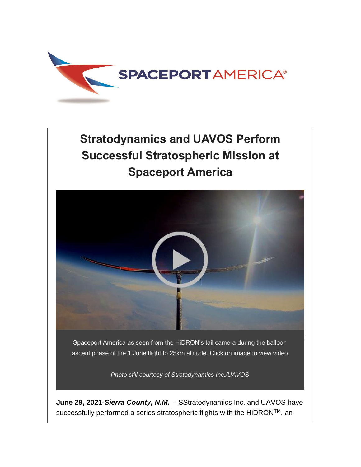

## **Stratodynamics and UAVOS Perform Successful Stratospheric Mission at Spaceport America**



*Photo still courtesy of Stratodynamics Inc./UAVOS*

**June 29, 2021-***Sierra County, N.M.* -- SStratodynamics Inc. and UAVOS have successfully performed a series stratospheric flights with the HiDRON™, an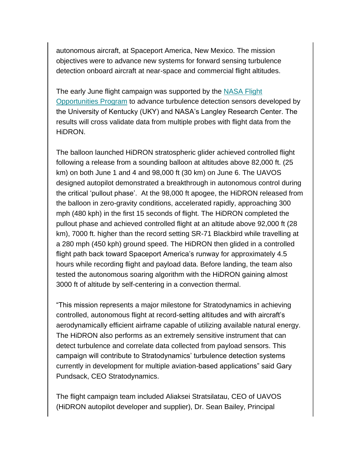autonomous aircraft, at Spaceport America, New Mexico. The mission objectives were to advance new systems for forward sensing turbulence detection onboard aircraft at near-space and commercial flight altitudes.

The early June flight campaign was supported by the [NASA Flight](https://spaceportamerica.us5.list-manage.com/track/click?u=58d56e94a27e782f5a4739ee8&id=57924b75d6&e=187382ca15)  [Opportunities Program](https://spaceportamerica.us5.list-manage.com/track/click?u=58d56e94a27e782f5a4739ee8&id=57924b75d6&e=187382ca15) to advance turbulence detection sensors developed by the University of Kentucky (UKY) and NASA's Langley Research Center. The results will cross validate data from multiple probes with flight data from the HiDRON.

The balloon launched HiDRON stratospheric glider achieved controlled flight following a release from a sounding balloon at altitudes above 82,000 ft. (25 km) on both June 1 and 4 and 98,000 ft (30 km) on June 6. The UAVOS designed autopilot demonstrated a breakthrough in autonomous control during the critical 'pullout phase'. At the 98,000 ft apogee, the HiDRON released from the balloon in zero-gravity conditions, accelerated rapidly, approaching 300 mph (480 kph) in the first 15 seconds of flight. The HiDRON completed the pullout phase and achieved controlled flight at an altitude above 92,000 ft (28 km), 7000 ft. higher than the record setting SR-71 Blackbird while travelling at a 280 mph (450 kph) ground speed. The HiDRON then glided in a controlled flight path back toward Spaceport America's runway for approximately 4.5 hours while recording flight and payload data. Before landing, the team also tested the autonomous soaring algorithm with the HiDRON gaining almost 3000 ft of altitude by self-centering in a convection thermal.

"This mission represents a major milestone for Stratodynamics in achieving controlled, autonomous flight at record-setting altitudes and with aircraft's aerodynamically efficient airframe capable of utilizing available natural energy. The HiDRON also performs as an extremely sensitive instrument that can detect turbulence and correlate data collected from payload sensors. This campaign will contribute to Stratodynamics' turbulence detection systems currently in development for multiple aviation-based applications" said Gary Pundsack, CEO Stratodynamics.

The flight campaign team included Aliaksei Stratsilatau, CEO of UAVOS (HiDRON autopilot developer and supplier), Dr. Sean Bailey, Principal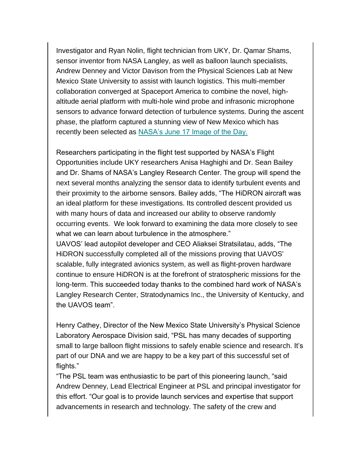Investigator and Ryan Nolin, flight technician from UKY, Dr. Qamar Shams, sensor inventor from NASA Langley, as well as balloon launch specialists, Andrew Denney and Victor Davison from the Physical Sciences Lab at New Mexico State University to assist with launch logistics. This multi-member collaboration converged at Spaceport America to combine the novel, highaltitude aerial platform with multi-hole wind probe and infrasonic microphone sensors to advance forward detection of turbulence systems. During the ascent phase, the platform captured a stunning view of New Mexico which has recently been selected as [NASA's June 17 Image of the Day.](https://spaceportamerica.us5.list-manage.com/track/click?u=58d56e94a27e782f5a4739ee8&id=7281264fd7&e=187382ca15)

Researchers participating in the flight test supported by NASA's Flight Opportunities include UKY researchers Anisa Haghighi and Dr. Sean Bailey and Dr. Shams of NASA's Langley Research Center. The group will spend the next several months analyzing the sensor data to identify turbulent events and their proximity to the airborne sensors. Bailey adds, "The HiDRON aircraft was an ideal platform for these investigations. Its controlled descent provided us with many hours of data and increased our ability to observe randomly occurring events. We look forward to examining the data more closely to see what we can learn about turbulence in the atmosphere."

UAVOS' lead autopilot developer and CEO Aliaksei Stratsilatau, adds, "The HiDRON successfully completed all of the missions proving that UAVOS' scalable, fully integrated avionics system, as well as flight-proven hardware continue to ensure HiDRON is at the forefront of stratospheric missions for the long-term. This succeeded today thanks to the combined hard work of NASA's Langley Research Center, Stratodynamics Inc., the University of Kentucky, and the UAVOS team".

Henry Cathey, Director of the New Mexico State University's Physical Science Laboratory Aerospace Division said, "PSL has many decades of supporting small to large balloon flight missions to safely enable science and research. It's part of our DNA and we are happy to be a key part of this successful set of flights."

"The PSL team was enthusiastic to be part of this pioneering launch, "said Andrew Denney, Lead Electrical Engineer at PSL and principal investigator for this effort. "Our goal is to provide launch services and expertise that support advancements in research and technology. The safety of the crew and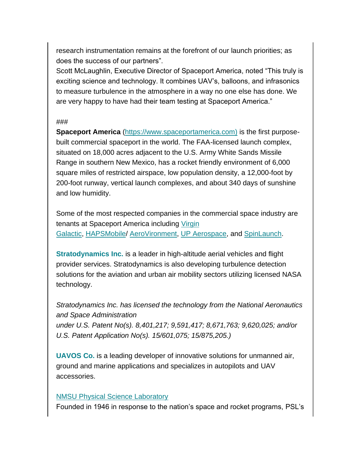research instrumentation remains at the forefront of our launch priorities; as does the success of our partners".

Scott McLaughlin, Executive Director of Spaceport America, noted "This truly is exciting science and technology. It combines UAV's, balloons, and infrasonics to measure turbulence in the atmosphere in a way no one else has done. We are very happy to have had their team testing at Spaceport America."

## ###

**Spaceport America** [\(https://www.spaceportamerica.com\)](https://spaceportamerica.us5.list-manage.com/track/click?u=58d56e94a27e782f5a4739ee8&id=5b9dc6fe00&e=187382ca15) is the first purposebuilt commercial spaceport in the world. The FAA-licensed launch complex, situated on 18,000 acres adjacent to the U.S. Army White Sands Missile Range in southern New Mexico, has a rocket friendly environment of 6,000 square miles of restricted airspace, low population density, a 12,000-foot by 200-foot runway, vertical launch complexes, and about 340 days of sunshine and low humidity.

Some of the most respected companies in the commercial space industry are tenants at Spaceport America including Virgin [Galactic,](https://spaceportamerica.us5.list-manage.com/track/click?u=58d56e94a27e782f5a4739ee8&id=f33ff7d2c8&e=187382ca15) [HAPSMobile/](https://spaceportamerica.us5.list-manage.com/track/click?u=58d56e94a27e782f5a4739ee8&id=c6c16aa368&e=187382ca15) [AeroVironment,](https://spaceportamerica.us5.list-manage.com/track/click?u=58d56e94a27e782f5a4739ee8&id=28b28aa820&e=187382ca15) [UP Aerospace,](https://spaceportamerica.us5.list-manage.com/track/click?u=58d56e94a27e782f5a4739ee8&id=288241e3eb&e=187382ca15) and [SpinLaunch.](https://spaceportamerica.us5.list-manage.com/track/click?u=58d56e94a27e782f5a4739ee8&id=b934e87ed7&e=187382ca15)

**[Stratodynamics Inc.](https://spaceportamerica.us5.list-manage.com/track/click?u=58d56e94a27e782f5a4739ee8&id=468cd85f07&e=187382ca15)** is a leader in high-altitude aerial vehicles and flight provider services. Stratodynamics is also developing turbulence detection solutions for the aviation and urban air mobility sectors utilizing licensed NASA technology.

*Stratodynamics Inc. has licensed the technology from the National Aeronautics and Space Administration under U.S. Patent No(s). 8,401,217; 9,591,417; 8,671,763; 9,620,025; and/or U.S. Patent Application No(s). 15/601,075; 15/875,205.)*

**[UAVOS](https://spaceportamerica.us5.list-manage.com/track/click?u=58d56e94a27e782f5a4739ee8&id=dc2ae3e516&e=187382ca15) Co.** is a leading developer of innovative solutions for unmanned air, ground and marine applications and specializes in autopilots and UAV accessories.

## [NMSU Physical Science Laboratory](https://spaceportamerica.us5.list-manage.com/track/click?u=58d56e94a27e782f5a4739ee8&id=25c3754cb0&e=187382ca15)

Founded in 1946 in response to the nation's space and rocket programs, PSL's